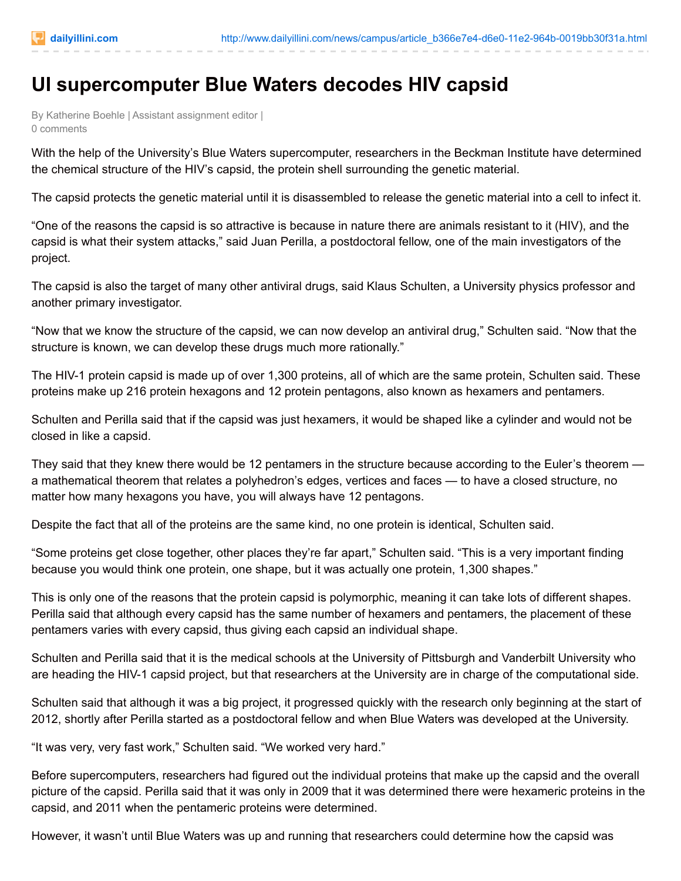## **UI supercomputer Blue Waters decodes HIV capsid**

By Katherine Boehle | Assistant assignment editor | 0 comments

With the help of the University's Blue Waters supercomputer, researchers in the Beckman Institute have determined the chemical structure of the HIV's capsid, the protein shell surrounding the genetic material.

The capsid protects the genetic material until it is disassembled to release the genetic material into a cell to infect it.

"One of the reasons the capsid is so attractive is because in nature there are animals resistant to it (HIV), and the capsid is what their system attacks," said Juan Perilla, a postdoctoral fellow, one of the main investigators of the project.

The capsid is also the target of many other antiviral drugs, said Klaus Schulten, a University physics professor and another primary investigator.

"Now that we know the structure of the capsid, we can now develop an antiviral drug," Schulten said. "Now that the structure is known, we can develop these drugs much more rationally."

The HIV-1 protein capsid is made up of over 1,300 proteins, all of which are the same protein, Schulten said. These proteins make up 216 protein hexagons and 12 protein pentagons, also known as hexamers and pentamers.

Schulten and Perilla said that if the capsid was just hexamers, it would be shaped like a cylinder and would not be closed in like a capsid.

They said that they knew there would be 12 pentamers in the structure because according to the Euler's theorem a mathematical theorem that relates a polyhedron's edges, vertices and faces — to have a closed structure, no matter how many hexagons you have, you will always have 12 pentagons.

Despite the fact that all of the proteins are the same kind, no one protein is identical, Schulten said.

"Some proteins get close together, other places they're far apart," Schulten said. "This is a very important finding because you would think one protein, one shape, but it was actually one protein, 1,300 shapes."

This is only one of the reasons that the protein capsid is polymorphic, meaning it can take lots of different shapes. Perilla said that although every capsid has the same number of hexamers and pentamers, the placement of these pentamers varies with every capsid, thus giving each capsid an individual shape.

Schulten and Perilla said that it is the medical schools at the University of Pittsburgh and Vanderbilt University who are heading the HIV-1 capsid project, but that researchers at the University are in charge of the computational side.

Schulten said that although it was a big project, it progressed quickly with the research only beginning at the start of 2012, shortly after Perilla started as a postdoctoral fellow and when Blue Waters was developed at the University.

"It was very, very fast work," Schulten said. "We worked very hard."

Before supercomputers, researchers had figured out the individual proteins that make up the capsid and the overall picture of the capsid. Perilla said that it was only in 2009 that it was determined there were hexameric proteins in the capsid, and 2011 when the pentameric proteins were determined.

However, it wasn't until Blue Waters was up and running that researchers could determine how the capsid was